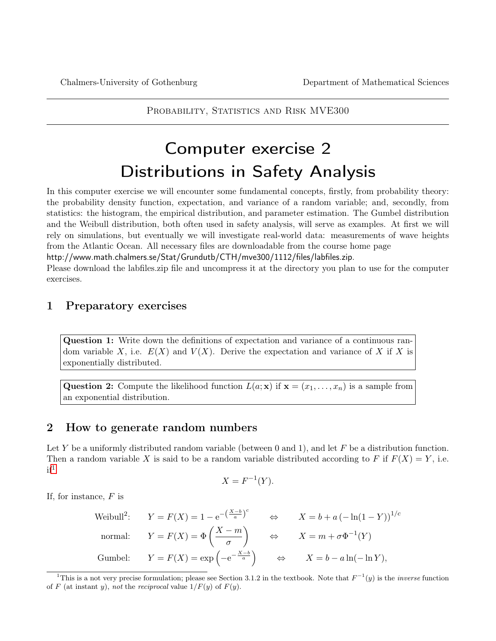PROBABILITY, STATISTICS AND RISK MVE300

# Computer exercise 2 Distributions in Safety Analysis

In this computer exercise we will encounter some fundamental concepts, firstly, from probability theory: the probability density function, expectation, and variance of a random variable; and, secondly, from statistics: the histogram, the empirical distribution, and parameter estimation. The Gumbel distribution and the Weibull distribution, both often used in safety analysis, will serve as examples. At first we will rely on simulations, but eventually we will investigate real-world data: measurements of wave heights from the Atlantic Ocean. All necessary files are downloadable from the course home page

http://www.math.chalmers.se/Stat/Grundutb/CTH/mve300/1112/files/labfiles.zip.

Please download the labfiles.zip file and uncompress it at the directory you plan to use for the computer exercises.

## 1 Preparatory exercises

Question 1: Write down the definitions of expectation and variance of a continuous random variable X, i.e.  $E(X)$  and  $V(X)$ . Derive the expectation and variance of X if X is exponentially distributed.

Question 2: Compute the likelihood function  $L(a; \mathbf{x})$  if  $\mathbf{x} = (x_1, \dots, x_n)$  is a sample from an exponential distribution.

## 2 How to generate random numbers

Let Y be a uniformly distributed random variable (between 0 and 1), and let F be a distribution function. Then a random variable X is said to be a random variable distributed according to F if  $F(X) = Y$ , i.e.  $if<sup>1</sup>$  $if<sup>1</sup>$  $if<sup>1</sup>$ 

$$
X = F^{-1}(Y).
$$

If, for instance,  $F$  is

Weibull<sup>2</sup>: 
$$
Y = F(X) = 1 - e^{-\left(\frac{X-b}{a}\right)^c}
$$
  $\Leftrightarrow$   $X = b + a\left(-\ln(1-Y)\right)^{1/c}$   
normal:  $Y = F(X) = \Phi\left(\frac{X-m}{\sigma}\right)$   $\Leftrightarrow$   $X = m + \sigma\Phi^{-1}(Y)$   
Gumbel:  $Y = F(X) = \exp\left(-e^{-\frac{X-b}{a}}\right)$   $\Leftrightarrow$   $X = b - a\ln(-\ln Y)$ ,

<span id="page-0-0"></span><sup>&</sup>lt;sup>1</sup>This is a not very precise formulation; please see Section 3.1.2 in the textbook. Note that  $F^{-1}(y)$  is the *inverse* function of F (at instant y), not the reciprocal value  $1/F(y)$  of  $F(y)$ .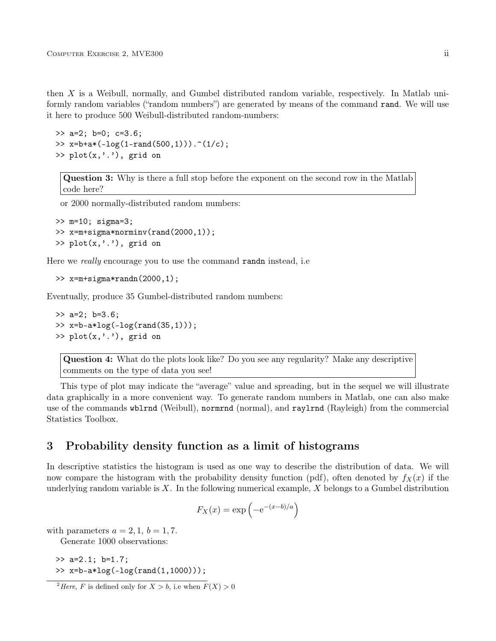then X is a Weibull, normally, and Gumbel distributed random variable, respectively. In Matlab uniformly random variables ("random numbers") are generated by means of the command rand. We will use it here to produce 500 Weibull-distributed random-numbers:

```
>> a=2; b=0; c=3.6;
>> x=b+a*(-log(1-rand(500,1))). (1/c);
\gg plot(x, '.''), grid on
```
Question 3: Why is there a full stop before the exponent on the second row in the Matlab code here?

or 2000 normally-distributed random numbers:

```
>> m=10; sigma=3;
>> x=m+sigma*norminv(rand(2000,1));
\gg plot(x, '.''), grid on
```
Here we *really* encourage you to use the command **randn** instead, i.e.

```
>> x=m+sigma*randn(2000,1);
```
Eventually, produce 35 Gumbel-distributed random numbers:

```
>> a=2; b=3.6;
\gg x=b-a*log(-log(rand(35,1)));
\gg plot(x, '.''), grid on
```
Question 4: What do the plots look like? Do you see any regularity? Make any descriptive comments on the type of data you see!

This type of plot may indicate the "average" value and spreading, but in the sequel we will illustrate data graphically in a more convenient way. To generate random numbers in Matlab, one can also make use of the commands wblrnd (Weibull), normrnd (normal), and raylrnd (Rayleigh) from the commercial Statistics Toolbox.

# 3 Probability density function as a limit of histograms

In descriptive statistics the histogram is used as one way to describe the distribution of data. We will now compare the histogram with the probability density function (pdf), often denoted by  $f_X(x)$  if the underlying random variable is  $X$ . In the following numerical example,  $X$  belongs to a Gumbel distribution

$$
F_X(x) = \exp\left(-e^{-(x-b)/a}\right)
$$

with parameters  $a = 2, 1, b = 1, 7$ .

Generate 1000 observations:

>> a=2.1; b=1.7;  $\gg$  x=b-a\*log(-log(rand(1,1000)));

<span id="page-1-0"></span><sup>&</sup>lt;sup>2</sup>Here, F is defined only for  $X > b$ , i.e when  $F(X) > 0$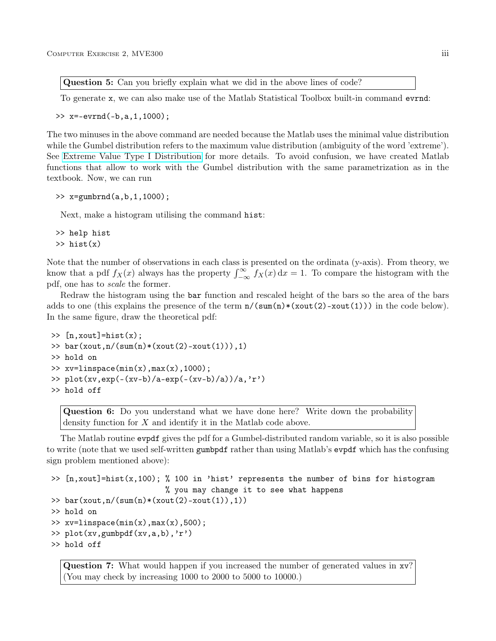Question 5: Can you briefly explain what we did in the above lines of code?

To generate x, we can also make use of the Matlab Statistical Toolbox built-in command evrnd:

>> x=-evrnd(-b,a,1,1000);

The two minuses in the above command are needed because the Matlab uses the minimal value distribution while the Gumbel distribution refers to the maximum value distribution (ambiguity of the word 'extreme'). See [Extreme Value Type I Distribution](http://www.itl.nist.gov/div898/handbook/eda/section3/eda366g.htm) for more details. To avoid confusion, we have created Matlab functions that allow to work with the Gumbel distribution with the same parametrization as in the textbook. Now, we can run

```
\gg x=gumbrnd(a,b,1,1000);
```
Next, make a histogram utilising the command hist:

```
>> help hist
\gg hist(x)
```
Note that the number of observations in each class is presented on the ordinata (y-axis). From theory, we know that a pdf  $f_X(x)$  always has the property  $\int_{-\infty}^{\infty} f_X(x) dx = 1$ . To compare the histogram with the pdf, one has to scale the former.

Redraw the histogram using the bar function and rescaled height of the bars so the area of the bars adds to one (this explains the presence of the term  $n/(\text{sum}(n)*(xout(2)-xout(1)))$  in the code below). In the same figure, draw the theoretical pdf:

```
\geq [n, xout]=hist(x);
>> bar(xout,n/(sum(n)*(xout(2)-xout(1))),1)
>> hold on
>> xv=linspace(min(x),max(x),1000);>> plot(xv,exp(-(xv-b)/a-exp(-(xv-b)/a))/a,'r')
>> hold off
```
Question 6: Do you understand what we have done here? Write down the probability density function for X and identify it in the Matlab code above.

The Matlab routine evpdf gives the pdf for a Gumbel-distributed random variable, so it is also possible to write (note that we used self-written gumbpdf rather than using Matlab's evpdf which has the confusing sign problem mentioned above):

```
\gg [n, xout]=hist(x, 100); % 100 in 'hist' represents the number of bins for histogram
                         % you may change it to see what happens
>> bar(xout,n/(sum(n)*(xout(2)-xout(1)),1))
>> hold on
\gg xv=linspace(min(x),max(x),500);
>> plot(xv,gumbpdf(xv,a,b),'r')
>> hold off
```
Question 7: What would happen if you increased the number of generated values in xv? (You may check by increasing 1000 to 2000 to 5000 to 10000.)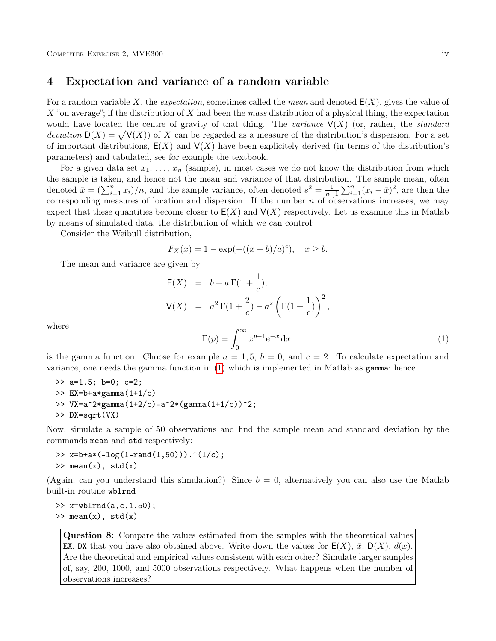### 4 Expectation and variance of a random variable

For a random variable X, the *expectation*, sometimes called the *mean* and denoted  $E(X)$ , gives the value of X "on average"; if the distribution of X had been the mass distribution of a physical thing, the expectation would have located the centre of gravity of that thing. The variance  $V(X)$  (or, rather, the standard deviation  $D(X) = \sqrt{V(X)}$  of X can be regarded as a measure of the distribution's dispersion. For a set of important distributions,  $E(X)$  and  $V(X)$  have been explicitely derived (in terms of the distribution's parameters) and tabulated, see for example the textbook.

For a given data set  $x_1, \ldots, x_n$  (sample), in most cases we do not know the distribution from which the sample is taken, and hence not the mean and variance of that distribution. The sample mean, often denoted  $\bar{x} = (\sum_{i=1}^{n} x_i)/n$ , and the sample variance, often denoted  $s^2 = \frac{1}{n-1} \sum_{i=1}^{n} (x_i - \bar{x})^2$ , are then the corresponding measures of location and dispersion. If the number  $n$  of observations increases, we may expect that these quantities become closer to  $E(X)$  and  $V(X)$  respectively. Let us examine this in Matlab by means of simulated data, the distribution of which we can control:

Consider the Weibull distribution,

$$
F_X(x) = 1 - \exp(-( (x - b)/a)^c), \quad x \ge b.
$$

The mean and variance are given by

<span id="page-3-0"></span>
$$
E(X) = b + a \Gamma(1 + \frac{1}{c}),
$$
  
\n
$$
V(X) = a^2 \Gamma(1 + \frac{2}{c}) - a^2 \left( \Gamma(1 + \frac{1}{c}) \right)^2,
$$

where

$$
\Gamma(p) = \int_0^\infty x^{p-1} e^{-x} dx.
$$
 (1)

is the gamma function. Choose for example  $a = 1, 5, b = 0$ , and  $c = 2$ . To calculate expectation and variance, one needs the gamma function in [\(1\)](#page-3-0) which is implemented in Matlab as gamma; hence

>> a=1.5; b=0; c=2; >>  $EX=b+a*gamma(1+1/c)$ >>  $VX=a^2*gamma(1+2/c)-a^2*(gamma(1+1/c))^2;$ >> DX=sqrt(VX)

Now, simulate a sample of 50 observations and find the sample mean and standard deviation by the commands mean and std respectively:

```
>> x=b+a*(-log(1-rand(1,50))). ^(1/c);
\gg mean(x), std(x)
```
(Again, can you understand this simulation?) Since  $b = 0$ , alternatively you can also use the Matlab built-in routine wblrnd

 $\gg$  x=wblrnd(a,c,1,50);  $\gg$  mean $(x)$ , std $(x)$ 

Question 8: Compare the values estimated from the samples with the theoretical values EX, DX that you have also obtained above. Write down the values for  $E(X)$ ,  $\bar{x}$ ,  $D(X)$ ,  $d(x)$ . Are the theoretical and empirical values consistent with each other? Simulate larger samples of, say, 200, 1000, and 5000 observations respectively. What happens when the number of observations increases?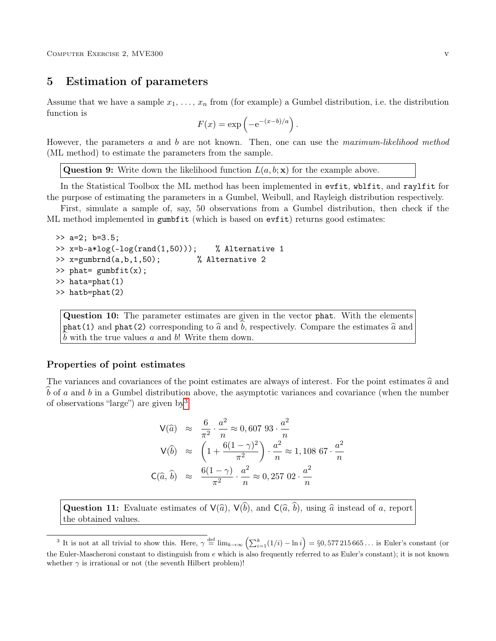# <span id="page-4-2"></span>5 Estimation of parameters

Assume that we have a sample  $x_1, \ldots, x_n$  from (for example) a Gumbel distribution, i.e. the distribution function is

$$
F(x) = \exp\left(-e^{-(x-b)/a}\right).
$$

However, the parameters a and b are not known. Then, one can use the maximum-likelihood method (ML method) to estimate the parameters from the sample.

**Question 9:** Write down the likelihood function  $L(a, b; \mathbf{x})$  for the example above.

In the Statistical Toolbox the ML method has been implemented in evfit, wblfit, and raylfit for the purpose of estimating the parameters in a Gumbel, Weibull, and Rayleigh distribution respectively.

First, simulate a sample of, say, 50 observations from a Gumbel distribution, then check if the ML method implemented in gumbfit (which is based on evfit) returns good estimates:

```
\gg a=2; b=3.5;
\rightarrow x=b-a*log(-log(rand(1,50))); % Alternative 1
>> x=gumbrnd(a,b,1,50); % Alternative 2
\gg phat= gumbfit(x);
>> hata=phat(1)
>> hatb=phat(2)
```
Question 10: The parameter estimates are given in the vector phat. With the elements phat(1) and phat(2) corresponding to  $\hat{a}$  and b, respectively. Compare the estimates  $\hat{a}$  and  $b$  with the true values  $a$  and  $b$ ! Write them down.

#### Properties of point estimates

The variances and covariances of the point estimates are always of interest. For the point estimates  $\hat{a}$  and  $\overline{b}$  of a and  $\overline{b}$  in a Gumbel distribution above, the asymptotic variances and covariance (when the number of observations "large") are given by[3](#page-4-0)

<span id="page-4-1"></span>
$$
V(\hat{a}) \approx \frac{6}{\pi^2} \cdot \frac{a^2}{n} \approx 0,60793 \cdot \frac{a^2}{n}
$$
  
\n
$$
V(\hat{b}) \approx \left(1 + \frac{6(1-\gamma)^2}{\pi^2}\right) \cdot \frac{a^2}{n} \approx 1,10867 \cdot \frac{a^2}{n}
$$
  
\n
$$
C(\hat{a}, \hat{b}) \approx \frac{6(1-\gamma)}{\pi^2} \cdot \frac{a^2}{n} \approx 0,25702 \cdot \frac{a^2}{n}
$$

**Question 11:** Evaluate estimates of  $V(\hat{a})$ ,  $V(\hat{b})$ , and  $C(\hat{a}, \hat{b})$ , using  $\hat{a}$  instead of a, report the obtained values.

<span id="page-4-0"></span><sup>&</sup>lt;sup>3</sup> It is not at all trivial to show this. Here,  $\gamma \stackrel{\text{def}}{=} \lim_{k \to \infty} \left( \sum_{i=1}^k (1/i) - \ln i \right) = \S 0, 577215665...$  is Euler's constant (or the Euler-Mascheroni constant to distinguish from e which is also frequently referred to as Euler's constant); it is not known whether  $\gamma$  is irrational or not (the seventh Hilbert problem)!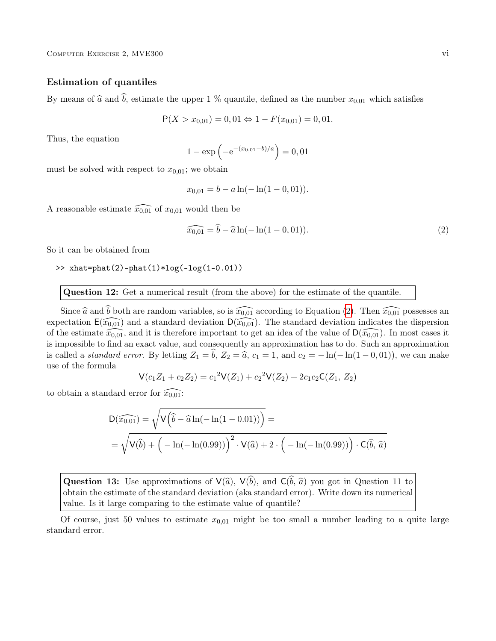#### Estimation of quantiles

By means of  $\hat{a}$  and  $\hat{b}$ , estimate the upper 1 % quantile, defined as the number  $x_{0,01}$  which satisfies

$$
P(X > x_{0,01}) = 0,01 \Leftrightarrow 1 - F(x_{0,01}) = 0,01.
$$

Thus, the equation

$$
1 - \exp\left(-e^{-(x_{0,01}-b)/a}\right) = 0,01
$$

must be solved with respect to  $x_{0.01}$ ; we obtain

$$
x_{0,01} = b - a \ln(-\ln(1 - 0, 01)).
$$

A reasonable estimate  $\widehat{x_{0,01}}$  of  $x_{0,01}$  would then be

$$
\widehat{x_{0,01}} = \widehat{b} - \widehat{a}\ln(-\ln(1 - 0, 01)).
$$
\n(2)

So it can be obtained from

>>  $xhat=phat(2)-phat(1)*log(-log(1-0.01))$ 

Question 12: Get a numerical result (from the above) for the estimate of the quantile.

Since  $\hat{a}$  and  $\hat{b}$  both are random variables, so is  $\widehat{x_{0,01}}$  according to Equation [\(2\)](#page-4-1). Then  $\widehat{x_{0,01}}$  possesses an expectation  $E(\tilde{x}_{0,01})$  and a standard deviation  $D(\tilde{x}_{0,01})$ . The standard deviation indicates the dispersion of the estimate  $\widehat{x_{0,01}}$ , and it is therefore important to get an idea of the value of  $\mathsf{D}(\widehat{x_{0,01}})$ . In most cases it is impossible to find an exact value, and consequently an approximation has to do. Such an approximation is called a *standard error*. By letting  $Z_1 = b$ ,  $Z_2 = \hat{a}$ ,  $c_1 = 1$ , and  $c_2 = -\ln(-\ln(1-0, 01))$ , we can make use of the formula

$$
V(c_1Z_1 + c_2Z_2) = c_1^2V(Z_1) + c_2^2V(Z_2) + 2c_1c_2C(Z_1, Z_2)
$$

to obtain a standard error for  $\widehat{x_{0,01}}$ :

$$
D(\widehat{x_{0.01}}) = \sqrt{V(\widehat{b} - \widehat{a}\ln(-\ln(1 - 0.01)))} =
$$
  
=  $\sqrt{V(\widehat{b}) + (-\ln(-\ln(0.99)))}^2 \cdot V(\widehat{a}) + 2 \cdot (-\ln(-\ln(0.99))) \cdot C(\widehat{b}, \widehat{a})$ 

**Question 13:** Use approximations of  $V(\hat{a})$ ,  $V(\hat{b})$ , and  $C(\hat{b}, \hat{a})$  you got in Question 11 to obtain the estimate of the standard deviation (aka standard error). Write down its numerical value. Is it large comparing to the estimate value of quantile?

Of course, just 50 values to estimate  $x_{0,01}$  might be too small a number leading to a quite large standard error.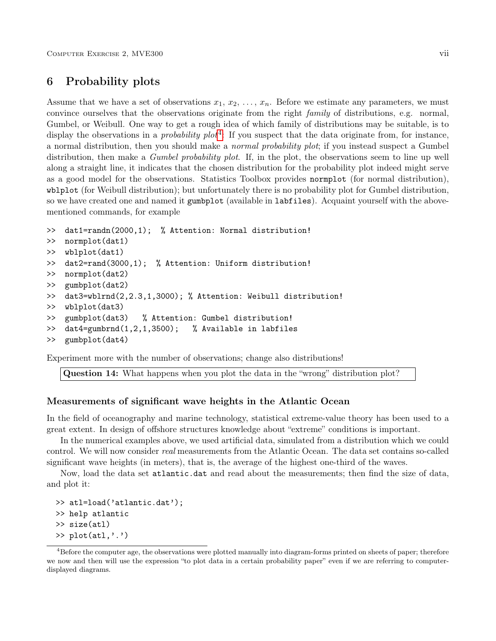# 6 Probability plots

Assume that we have a set of observations  $x_1, x_2, \ldots, x_n$ . Before we estimate any parameters, we must convince ourselves that the observations originate from the right family of distributions, e.g. normal, Gumbel, or Weibull. One way to get a rough idea of which family of distributions may be suitable, is to display the observations in a *probability plot*<sup>[4](#page-6-0)</sup>: If you suspect that the data originate from, for instance, a normal distribution, then you should make a normal probability plot; if you instead suspect a Gumbel distribution, then make a *Gumbel probability plot*. If, in the plot, the observations seem to line up well along a straight line, it indicates that the chosen distribution for the probability plot indeed might serve as a good model for the observations. Statistics Toolbox provides normplot (for normal distribution), wblplot (for Weibull distribution); but unfortunately there is no probability plot for Gumbel distribution, so we have created one and named it gumbplot (available in labfiles). Acquaint yourself with the abovementioned commands, for example

```
>> dat1=randn(2000,1); % Attention: Normal distribution!
>> normplot(dat1)
>> wblplot(dat1)
>> dat2=rand(3000,1); % Attention: Uniform distribution!
>> normplot(dat2)
>> gumbplot(dat2)
>> dat3=wblrnd(2,2.3,1,3000); % Attention: Weibull distribution!
>> wblplot(dat3)
>> gumbplot(dat3) % Attention: Gumbel distribution!
>> dat4=gumbrnd(1,2,1,3500); % Available in labfiles
>> gumbplot(dat4)
```
Experiment more with the number of observations; change also distributions!

Question 14: What happens when you plot the data in the "wrong" distribution plot?

#### Measurements of significant wave heights in the Atlantic Ocean

In the field of oceanography and marine technology, statistical extreme-value theory has been used to a great extent. In design of offshore structures knowledge about "extreme" conditions is important.

In the numerical examples above, we used artificial data, simulated from a distribution which we could control. We will now consider real measurements from the Atlantic Ocean. The data set contains so-called significant wave heights (in meters), that is, the average of the highest one-third of the waves.

Now, load the data set atlantic.dat and read about the measurements; then find the size of data, and plot it:

```
>> atl=load('atlantic.dat');
>> help atlantic
>> size(atl)
\gg plot(atl,'.')
```
<span id="page-6-0"></span> $4B$ efore the computer age, the observations were plotted manually into diagram-forms printed on sheets of paper; therefore we now and then will use the expression "to plot data in a certain probability paper" even if we are referring to computerdisplayed diagrams.